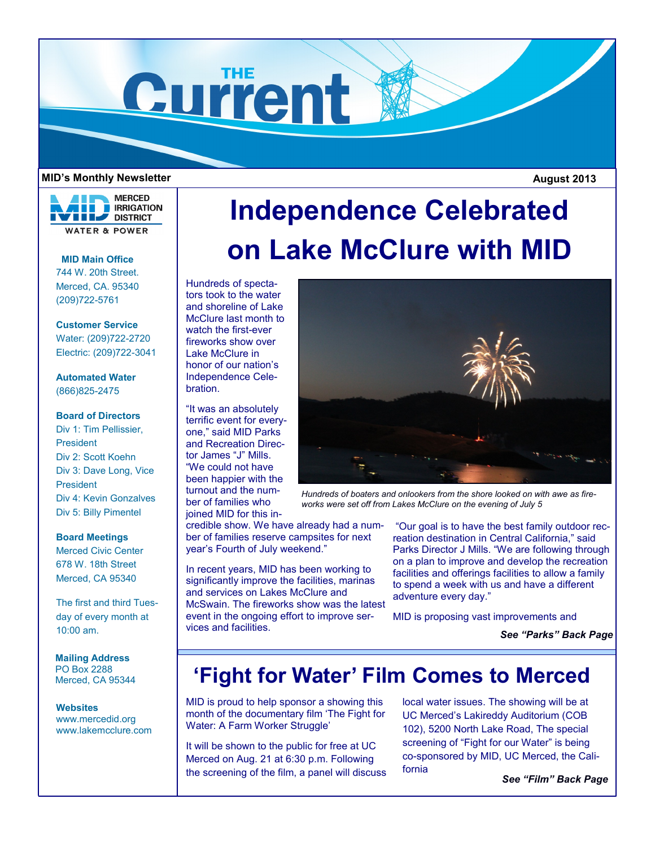

#### **MID's Monthly Newsletter**

 **August 2013**



### **MID Main Office** 744 W. 20th Street. Merced, CA. 95340

(209)722-5761

## **Customer Service**

Water: (209)722-2720 Electric: (209)722-3041

**Automated Water** (866)825-2475

#### **Board of Directors**

Div 1: Tim Pellissier, President Div 2: Scott Koehn Div 3: Dave Long, Vice President Div 4: Kevin Gonzalves Div 5: Billy Pimentel

#### **Board Meetings**

Merced Civic Center 678 W. 18th Street Merced, CA 95340

The first and third Tuesday of every month at 10:00 am.

**Mailing Address** PO Box 2288 Merced, CA 95344

#### **Websites**

www.mercedid.org www.lakemcclure.com

# **Independence Celebrated on Lake McClure with MID**

Hundreds of spectators took to the water and shoreline of Lake McClure last month to watch the first-ever fireworks show over Lake McClure in honor of our nation's Independence Celebration.

"It was an absolutely terrific event for everyone," said MID Parks and Recreation Director James "J" Mills. "We could not have been happier with the turnout and the number of families who joined MID for this in-

credible show. We have already had a number of families reserve campsites for next year's Fourth of July weekend."

In recent years, MID has been working to significantly improve the facilities, marinas and services on Lakes McClure and McSwain. The fireworks show was the latest event in the ongoing effort to improve services and facilities.

*Hundreds of boaters and onlookers from the shore looked on with awe as fireworks were set off from Lakes McClure on the evening of July 5*

"Our goal is to have the best family outdoor recreation destination in Central California," said Parks Director J Mills. "We are following through on a plan to improve and develop the recreation facilities and offerings facilities to allow a family to spend a week with us and have a different adventure every day."

MID is proposing vast improvements and

*See "Parks" Back Page*

# **'Fight for Water' Film Comes to Merced**

MID is proud to help sponsor a showing this month of the documentary film 'The Fight for Water: A Farm Worker Struggle'

It will be shown to the public for free at UC Merced on Aug. 21 at 6:30 p.m. Following the screening of the film, a panel will discuss local water issues. The showing will be at UC Merced's Lakireddy Auditorium (COB 102), 5200 North Lake Road, The special screening of "Fight for our Water" is being co-sponsored by MID, UC Merced, the California

*See "Film" Back Page*